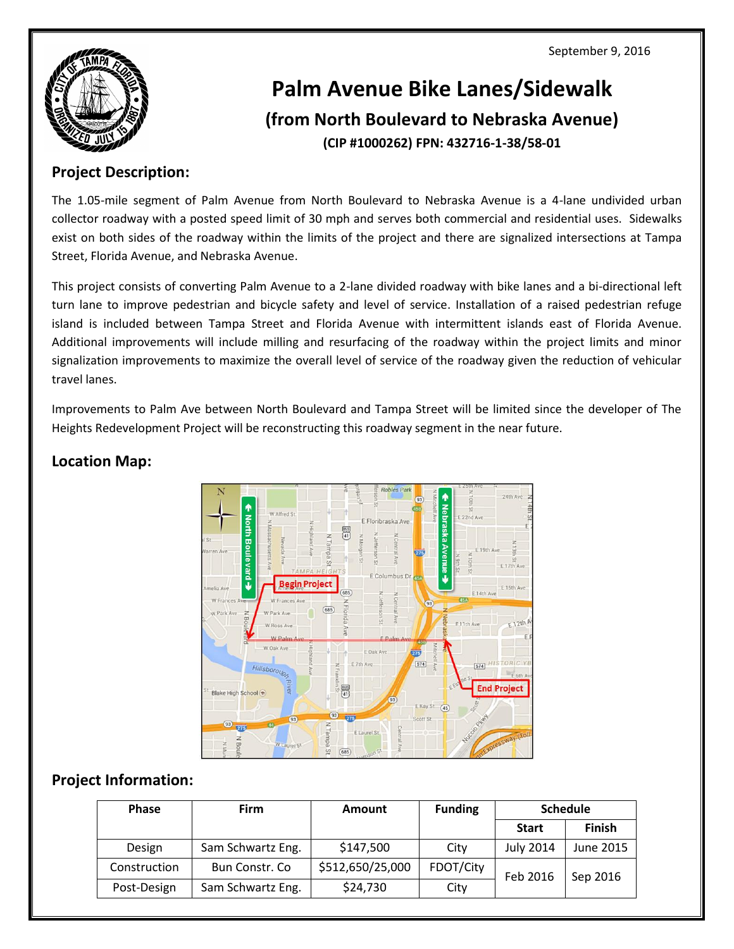September 9, 2016



# **Palm Avenue Bike Lanes/Sidewalk (from North Boulevard to Nebraska Avenue) (CIP #1000262) FPN: 432716-1-38/58-01**

#### **Project Description:**

The 1.05-mile segment of Palm Avenue from North Boulevard to Nebraska Avenue is a 4-lane undivided urban collector roadway with a posted speed limit of 30 mph and serves both commercial and residential uses. Sidewalks exist on both sides of the roadway within the limits of the project and there are signalized intersections at Tampa Street, Florida Avenue, and Nebraska Avenue.

This project consists of converting Palm Avenue to a 2-lane divided roadway with bike lanes and a bi-directional left turn lane to improve pedestrian and bicycle safety and level of service. Installation of a raised pedestrian refuge island is included between Tampa Street and Florida Avenue with intermittent islands east of Florida Avenue. Additional improvements will include milling and resurfacing of the roadway within the project limits and minor signalization improvements to maximize the overall level of service of the roadway given the reduction of vehicular travel lanes.

Improvements to Palm Ave between North Boulevard and Tampa Street will be limited since the developer of The Heights Redevelopment Project will be reconstructing this roadway segment in the near future.



### **Location Map:**

#### **Project Information:**

| <b>Phase</b> | Firm              | <b>Amount</b>    | <b>Funding</b> | <b>Schedule</b>  |               |
|--------------|-------------------|------------------|----------------|------------------|---------------|
|              |                   |                  |                | <b>Start</b>     | <b>Finish</b> |
| Design       | Sam Schwartz Eng. | \$147,500        | City           | <b>July 2014</b> | June 2015     |
| Construction | Bun Constr. Co    | \$512,650/25,000 | FDOT/City      | Feb 2016         | Sep 2016      |
| Post-Design  | Sam Schwartz Eng. | \$24,730         | City           |                  |               |